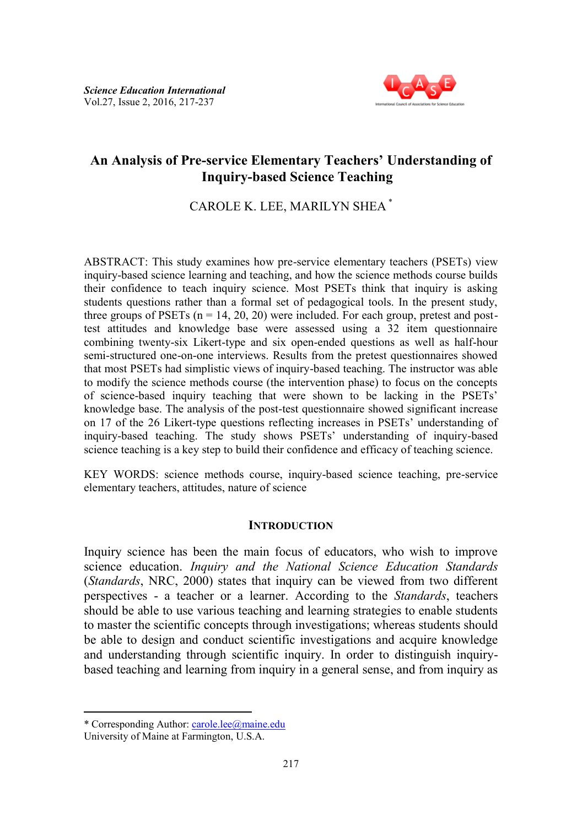

# **An Analysis of Pre-service Elementary Teachers' Understanding of Inquiry-based Science Teaching**

CAROLE K. LEE, MARILYN SHEA \*

ABSTRACT: This study examines how pre-service elementary teachers (PSETs) view inquiry-based science learning and teaching, and how the science methods course builds their confidence to teach inquiry science. Most PSETs think that inquiry is asking students questions rather than a formal set of pedagogical tools. In the present study, three groups of PSETs  $(n = 14, 20, 20)$  were included. For each group, pretest and posttest attitudes and knowledge base were assessed using a 32 item questionnaire combining twenty-six Likert-type and six open-ended questions as well as half-hour semi-structured one-on-one interviews. Results from the pretest questionnaires showed that most PSETs had simplistic views of inquiry-based teaching. The instructor was able to modify the science methods course (the intervention phase) to focus on the concepts of science-based inquiry teaching that were shown to be lacking in the PSETs' knowledge base. The analysis of the post-test questionnaire showed significant increase on 17 of the 26 Likert-type questions reflecting increases in PSETs' understanding of inquiry-based teaching. The study shows PSETs' understanding of inquiry-based science teaching is a key step to build their confidence and efficacy of teaching science.

KEY WORDS: science methods course, inquiry-based science teaching, pre-service elementary teachers, attitudes, nature of science

### **INTRODUCTION**

Inquiry science has been the main focus of educators, who wish to improve science education. *Inquiry and the National Science Education Standards* (*Standards*, NRC, 2000) states that inquiry can be viewed from two different perspectives - a teacher or a learner. According to the *Standards*, teachers should be able to use various teaching and learning strategies to enable students to master the scientific concepts through investigations; whereas students should be able to design and conduct scientific investigations and acquire knowledge and understanding through scientific inquiry. In order to distinguish inquirybased teaching and learning from inquiry in a general sense, and from inquiry as

l

<sup>\*</sup> Corresponding Author: [carole.lee@maine.edu](mailto:carole.lee@maine.edu)

University of Maine at Farmington, U.S.A.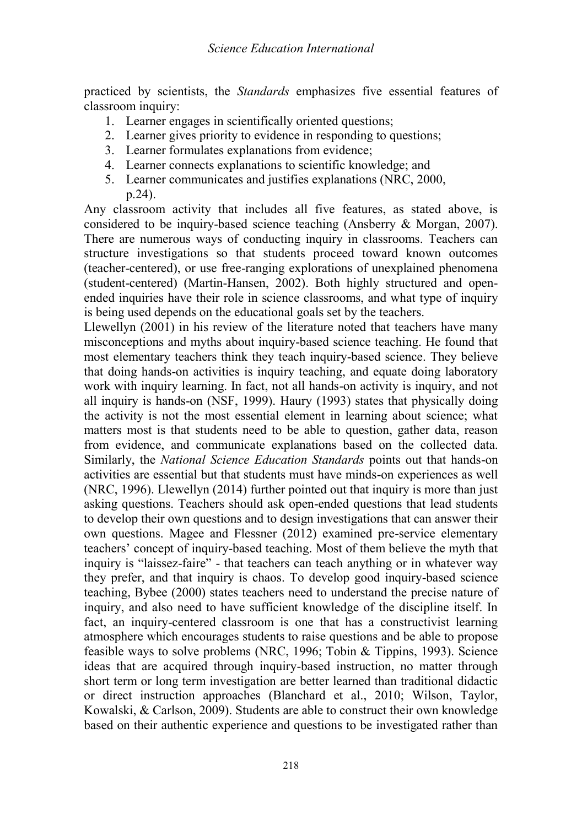practiced by scientists, the *Standards* emphasizes five essential features of classroom inquiry:

- 1. Learner engages in scientifically oriented questions;
- 2. Learner gives priority to evidence in responding to questions;
- 3. Learner formulates explanations from evidence;
- 4. Learner connects explanations to scientific knowledge; and
- 5. Learner communicates and justifies explanations (NRC, 2000, p.24).

Any classroom activity that includes all five features, as stated above, is considered to be inquiry-based science teaching (Ansberry & Morgan, 2007). There are numerous ways of conducting inquiry in classrooms. Teachers can structure investigations so that students proceed toward known outcomes (teacher-centered), or use free-ranging explorations of unexplained phenomena (student-centered) (Martin-Hansen, 2002). Both highly structured and openended inquiries have their role in science classrooms, and what type of inquiry is being used depends on the educational goals set by the teachers.

Llewellyn (2001) in his review of the literature noted that teachers have many misconceptions and myths about inquiry-based science teaching. He found that most elementary teachers think they teach inquiry-based science. They believe that doing hands-on activities is inquiry teaching, and equate doing laboratory work with inquiry learning. In fact, not all hands-on activity is inquiry, and not all inquiry is hands-on (NSF, 1999). Haury (1993) states that physically doing the activity is not the most essential element in learning about science; what matters most is that students need to be able to question, gather data, reason from evidence, and communicate explanations based on the collected data. Similarly, the *National Science Education Standards* points out that hands-on activities are essential but that students must have minds-on experiences as well (NRC, 1996). Llewellyn (2014) further pointed out that inquiry is more than just asking questions. Teachers should ask open-ended questions that lead students to develop their own questions and to design investigations that can answer their own questions. Magee and Flessner (2012) examined pre-service elementary teachers' concept of inquiry-based teaching. Most of them believe the myth that inquiry is "laissez-faire" - that teachers can teach anything or in whatever way they prefer, and that inquiry is chaos. To develop good inquiry-based science teaching, Bybee (2000) states teachers need to understand the precise nature of inquiry, and also need to have sufficient knowledge of the discipline itself. In fact, an inquiry-centered classroom is one that has a constructivist learning atmosphere which encourages students to raise questions and be able to propose feasible ways to solve problems (NRC, 1996; Tobin & Tippins, 1993). Science ideas that are acquired through inquiry-based instruction, no matter through short term or long term investigation are better learned than traditional didactic or direct instruction approaches (Blanchard et al., 2010; Wilson, Taylor, Kowalski, & Carlson, 2009). Students are able to construct their own knowledge based on their authentic experience and questions to be investigated rather than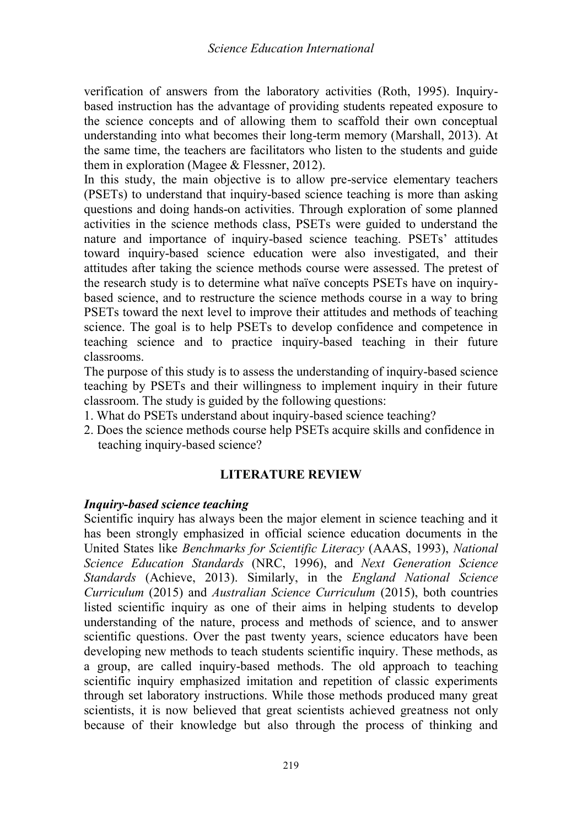verification of answers from the laboratory activities (Roth, 1995). Inquirybased instruction has the advantage of providing students repeated exposure to the science concepts and of allowing them to scaffold their own conceptual understanding into what becomes their long-term memory (Marshall, 2013). At the same time, the teachers are facilitators who listen to the students and guide them in exploration (Magee & Flessner, 2012).

In this study, the main objective is to allow pre-service elementary teachers (PSETs) to understand that inquiry-based science teaching is more than asking questions and doing hands-on activities. Through exploration of some planned activities in the science methods class, PSETs were guided to understand the nature and importance of inquiry-based science teaching. PSETs' attitudes toward inquiry-based science education were also investigated, and their attitudes after taking the science methods course were assessed. The pretest of the research study is to determine what naïve concepts PSETs have on inquirybased science, and to restructure the science methods course in a way to bring PSETs toward the next level to improve their attitudes and methods of teaching science. The goal is to help PSETs to develop confidence and competence in teaching science and to practice inquiry-based teaching in their future classrooms.

The purpose of this study is to assess the understanding of inquiry-based science teaching by PSETs and their willingness to implement inquiry in their future classroom. The study is guided by the following questions:

- 1. What do PSETs understand about inquiry-based science teaching?
- 2. Does the science methods course help PSETs acquire skills and confidence in teaching inquiry-based science?

### **LITERATURE REVIEW**

### *Inquiry-based science teaching*

Scientific inquiry has always been the major element in science teaching and it has been strongly emphasized in official science education documents in the United States like *Benchmarks for Scientific Literacy* (AAAS, 1993), *National Science Education Standards* (NRC, 1996), and *Next Generation Science Standards* (Achieve, 2013). Similarly, in the *England National Science Curriculum* (2015) and *Australian Science Curriculum* (2015), both countries listed scientific inquiry as one of their aims in helping students to develop understanding of the nature, process and methods of science, and to answer scientific questions. Over the past twenty years, science educators have been developing new methods to teach students scientific inquiry. These methods, as a group, are called inquiry-based methods. The old approach to teaching scientific inquiry emphasized imitation and repetition of classic experiments through set laboratory instructions. While those methods produced many great scientists, it is now believed that great scientists achieved greatness not only because of their knowledge but also through the process of thinking and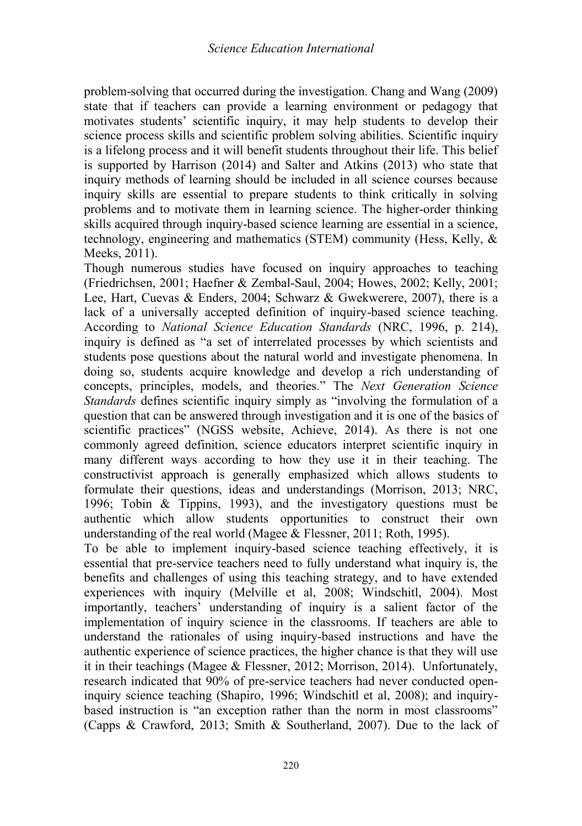problem-solving that occurred during the investigation. Chang and Wang (2009) state that if teachers can provide a learning environment or pedagogy that motivates students' scientific inquiry, it may help students to develop their science process skills and scientific problem solving abilities. Scientific inquiry is a lifelong process and it will benefit students throughout their life. This belief is supported by Harrison (2014) and Salter and Atkins (2013) who state that inquiry methods of learning should be included in all science courses because inquiry skills are essential to prepare students to think critically in solving problems and to motivate them in learning science. The higher-order thinking skills acquired through inquiry-based science learning are essential in a science, technology, engineering and mathematics (STEM) community (Hess, Kelly, & Meeks, 2011).

Though numerous studies have focused on inquiry approaches to teaching (Friedrichsen, 2001; Haefner & Zembal-Saul, 2004; Howes, 2002; Kelly, 2001; Lee, Hart, Cuevas & Enders, 2004; Schwarz & Gwekwerere, 2007), there is a lack of a universally accepted definition of inquiry-based science teaching. According to *National Science Education Standards* (NRC, 1996, p. 214), inquiry is defined as "a set of interrelated processes by which scientists and students pose questions about the natural world and investigate phenomena. In doing so, students acquire knowledge and develop a rich understanding of concepts, principles, models, and theories." The *Next Generation Science Standards* defines scientific inquiry simply as "involving the formulation of a question that can be answered through investigation and it is one of the basics of scientific practices" (NGSS website, Achieve, 2014). As there is not one commonly agreed definition, science educators interpret scientific inquiry in many different ways according to how they use it in their teaching. The constructivist approach is generally emphasized which allows students to formulate their questions, ideas and understandings (Morrison, 2013; NRC, 1996; Tobin & Tippins, 1993), and the investigatory questions must be authentic which allow students opportunities to construct their own understanding of the real world (Magee & Flessner, 2011; Roth, 1995).

To be able to implement inquiry-based science teaching effectively, it is essential that pre-service teachers need to fully understand what inquiry is, the benefits and challenges of using this teaching strategy, and to have extended experiences with inquiry (Melville et al, 2008; Windschitl, 2004). Most importantly, teachers' understanding of inquiry is a salient factor of the implementation of inquiry science in the classrooms. If teachers are able to understand the rationales of using inquiry-based instructions and have the authentic experience of science practices, the higher chance is that they will use it in their teachings (Magee & Flessner, 2012; Morrison, 2014). Unfortunately, research indicated that 90% of pre-service teachers had never conducted openinquiry science teaching (Shapiro, 1996; Windschitl et al, 2008); and inquirybased instruction is "an exception rather than the norm in most classrooms" (Capps & Crawford, 2013; Smith & Southerland, 2007). Due to the lack of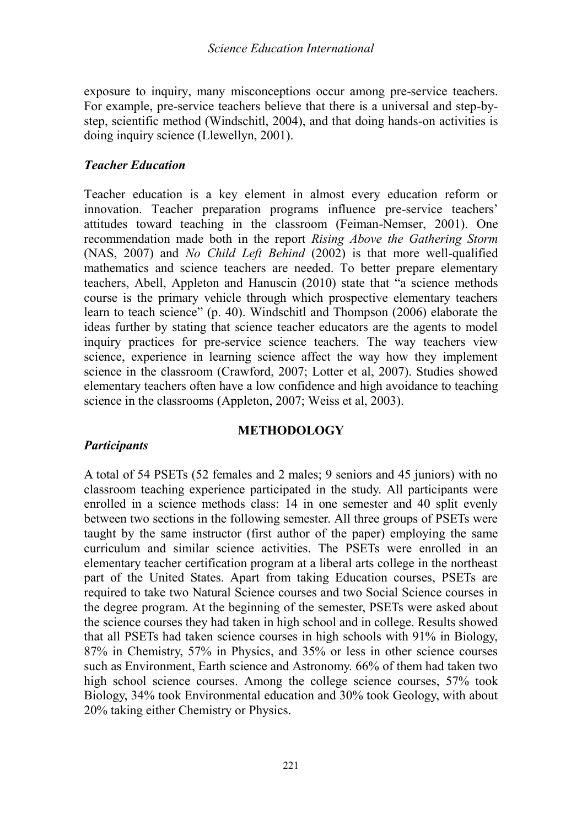exposure to inquiry, many misconceptions occur among pre-service teachers. For example, pre-service teachers believe that there is a universal and step-bystep, scientific method (Windschitl, 2004), and that doing hands-on activities is doing inquiry science (Llewellyn, 2001).

### *Teacher Education*

Teacher education is a key element in almost every education reform or innovation. Teacher preparation programs influence pre-service teachers' attitudes toward teaching in the classroom (Feiman-Nemser, 2001). One recommendation made both in the report *Rising Above the Gathering Storm* (NAS, 2007) and *No Child Left Behind* (2002) is that more well-qualified mathematics and science teachers are needed. To better prepare elementary teachers, Abell, Appleton and Hanuscin (2010) state that "a science methods course is the primary vehicle through which prospective elementary teachers learn to teach science" (p. 40). Windschitl and Thompson (2006) elaborate the ideas further by stating that science teacher educators are the agents to model inquiry practices for pre-service science teachers. The way teachers view science, experience in learning science affect the way how they implement science in the classroom (Crawford, 2007; Lotter et al, 2007). Studies showed elementary teachers often have a low confidence and high avoidance to teaching science in the classrooms (Appleton, 2007; Weiss et al, 2003).

### **METHODOLOGY**

### *Participants*

A total of 54 PSETs (52 females and 2 males; 9 seniors and 45 juniors) with no classroom teaching experience participated in the study. All participants were enrolled in a science methods class: 14 in one semester and 40 split evenly between two sections in the following semester. All three groups of PSETs were taught by the same instructor (first author of the paper) employing the same curriculum and similar science activities. The PSETs were enrolled in an elementary teacher certification program at a liberal arts college in the northeast part of the United States. Apart from taking Education courses, PSETs are required to take two Natural Science courses and two Social Science courses in the degree program. At the beginning of the semester, PSETs were asked about the science courses they had taken in high school and in college. Results showed that all PSETs had taken science courses in high schools with 91% in Biology, 87% in Chemistry, 57% in Physics, and 35% or less in other science courses such as Environment, Earth science and Astronomy. 66% of them had taken two high school science courses. Among the college science courses, 57% took Biology, 34% took Environmental education and 30% took Geology, with about 20% taking either Chemistry or Physics.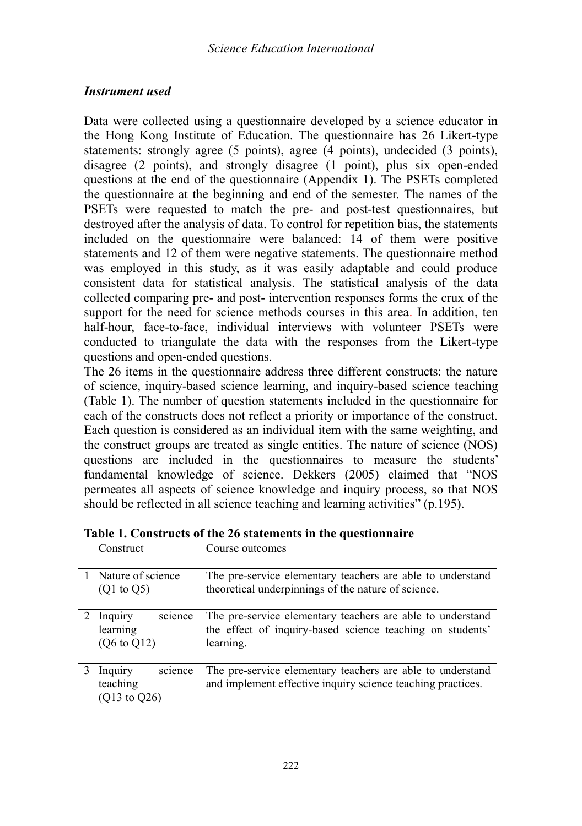### *Instrument used*

Data were collected using a questionnaire developed by a science educator in the Hong Kong Institute of Education. The questionnaire has 26 Likert-type statements: strongly agree (5 points), agree (4 points), undecided (3 points), disagree (2 points), and strongly disagree (1 point), plus six open-ended questions at the end of the questionnaire (Appendix 1). The PSETs completed the questionnaire at the beginning and end of the semester. The names of the PSETs were requested to match the pre- and post-test questionnaires, but destroyed after the analysis of data. To control for repetition bias, the statements included on the questionnaire were balanced: 14 of them were positive statements and 12 of them were negative statements. The questionnaire method was employed in this study, as it was easily adaptable and could produce consistent data for statistical analysis. The statistical analysis of the data collected comparing pre- and post- intervention responses forms the crux of the support for the need for science methods courses in this area. In addition, ten half-hour, face-to-face, individual interviews with volunteer PSETs were conducted to triangulate the data with the responses from the Likert-type questions and open-ended questions.

The 26 items in the questionnaire address three different constructs: the nature of science, inquiry-based science learning, and inquiry-based science teaching (Table 1). The number of question statements included in the questionnaire for each of the constructs does not reflect a priority or importance of the construct. Each question is considered as an individual item with the same weighting, and the construct groups are treated as single entities. The nature of science (NOS) questions are included in the questionnaires to measure the students' fundamental knowledge of science. Dekkers (2005) claimed that "NOS permeates all aspects of science knowledge and inquiry process, so that NOS should be reflected in all science teaching and learning activities" (p.195).

| Construct                                                  | Course outcomes                                                                                                                      |
|------------------------------------------------------------|--------------------------------------------------------------------------------------------------------------------------------------|
| 1 Nature of science<br>$(Q1 \text{ to } Q5)$               | The pre-service elementary teachers are able to understand<br>theoretical underpinnings of the nature of science.                    |
| science<br>2 Inquiry<br>learning<br>$(Q6 \text{ to } Q12)$ | The pre-service elementary teachers are able to understand<br>the effect of inquiry-based science teaching on students'<br>learning. |
| science<br>Inquiry<br>teaching<br>$(013 \text{ to } 026)$  | The pre-service elementary teachers are able to understand<br>and implement effective inquiry science teaching practices.            |

**Table 1. Constructs of the 26 statements in the questionnaire**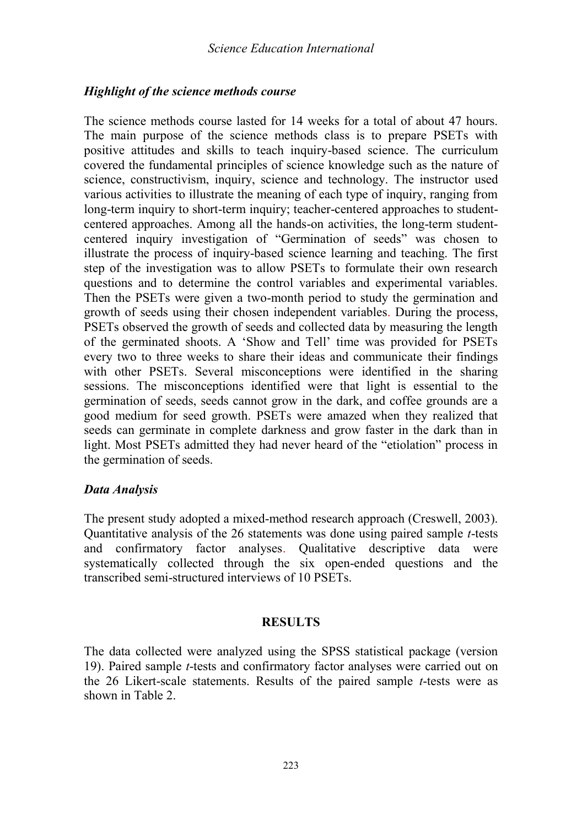### *Highlight of the science methods course*

The science methods course lasted for 14 weeks for a total of about 47 hours. The main purpose of the science methods class is to prepare PSETs with positive attitudes and skills to teach inquiry-based science. The curriculum covered the fundamental principles of science knowledge such as the nature of science, constructivism, inquiry, science and technology. The instructor used various activities to illustrate the meaning of each type of inquiry, ranging from long-term inquiry to short-term inquiry; teacher-centered approaches to studentcentered approaches. Among all the hands-on activities, the long-term studentcentered inquiry investigation of "Germination of seeds" was chosen to illustrate the process of inquiry-based science learning and teaching. The first step of the investigation was to allow PSETs to formulate their own research questions and to determine the control variables and experimental variables. Then the PSETs were given a two-month period to study the germination and growth of seeds using their chosen independent variables. During the process, PSETs observed the growth of seeds and collected data by measuring the length of the germinated shoots. A 'Show and Tell' time was provided for PSETs every two to three weeks to share their ideas and communicate their findings with other PSETs. Several misconceptions were identified in the sharing sessions. The misconceptions identified were that light is essential to the germination of seeds, seeds cannot grow in the dark, and coffee grounds are a good medium for seed growth. PSETs were amazed when they realized that seeds can germinate in complete darkness and grow faster in the dark than in light. Most PSETs admitted they had never heard of the "etiolation" process in the germination of seeds.

### *Data Analysis*

The present study adopted a mixed-method research approach (Creswell, 2003). Quantitative analysis of the 26 statements was done using paired sample *t*-tests and confirmatory factor analyses. Qualitative descriptive data were systematically collected through the six open-ended questions and the transcribed semi-structured interviews of 10 PSETs.

### **RESULTS**

The data collected were analyzed using the SPSS statistical package (version 19). Paired sample *t*-tests and confirmatory factor analyses were carried out on the 26 Likert-scale statements. Results of the paired sample *t*-tests were as shown in Table 2.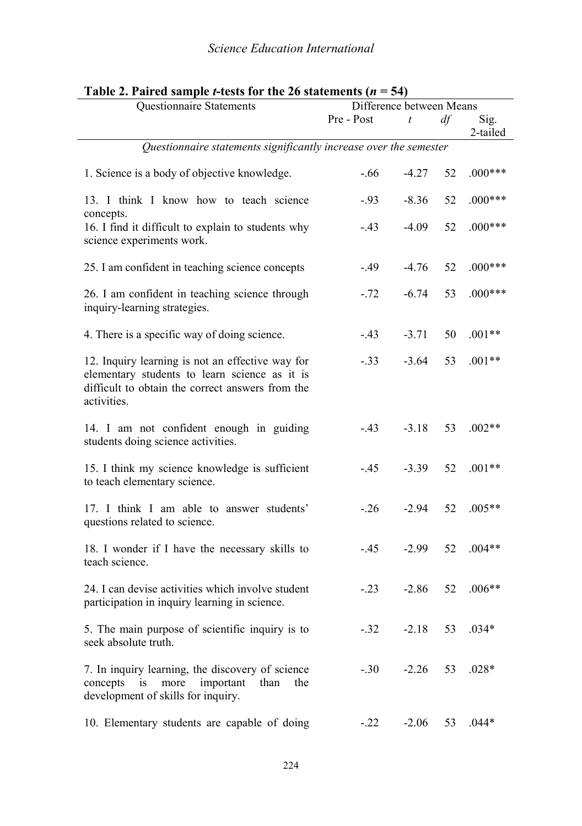| radio 2. ran og sample i tests for the 20 statements (n<br>◡᠇<br>Questionnaire Statements<br>Difference between Means                                                |            |                |    |                  |  |
|----------------------------------------------------------------------------------------------------------------------------------------------------------------------|------------|----------------|----|------------------|--|
|                                                                                                                                                                      | Pre - Post | $\mathfrak{t}$ | df | Sig.<br>2-tailed |  |
| Questionnaire statements significantly increase over the semester                                                                                                    |            |                |    |                  |  |
| 1. Science is a body of objective knowledge.                                                                                                                         | $-.66$     | $-4.27$        | 52 | $.000***$        |  |
| 13. I think I know how to teach science<br>concepts.                                                                                                                 | $-.93$     | $-8.36$        | 52 | $.000***$        |  |
| 16. I find it difficult to explain to students why<br>science experiments work.                                                                                      | $-.43$     | $-4.09$        | 52 | $.000***$        |  |
| 25. I am confident in teaching science concepts                                                                                                                      | $-.49$     | $-4.76$        | 52 | $.000***$        |  |
| 26. I am confident in teaching science through<br>inquiry-learning strategies.                                                                                       | $-.72$     | $-6.74$        | 53 | $.000***$        |  |
| 4. There is a specific way of doing science.                                                                                                                         | $-.43$     | $-3.71$        | 50 | $.001**$         |  |
| 12. Inquiry learning is not an effective way for<br>elementary students to learn science as it is<br>difficult to obtain the correct answers from the<br>activities. | $-.33$     | $-3.64$        | 53 | $.001**$         |  |
| 14. I am not confident enough in guiding<br>students doing science activities.                                                                                       | $-43$      | $-3.18$        | 53 | $.002**$         |  |
| 15. I think my science knowledge is sufficient<br>to teach elementary science.                                                                                       | $-45$      | $-3.39$        | 52 | $.001**$         |  |
| 17. I think I am able to answer students'<br>questions related to science.                                                                                           | $-.26$     | $-2.94$        | 52 | $.005**$         |  |
| 18. I wonder if I have the necessary skills to<br>teach science.                                                                                                     | $-45$      | $-2.99$        | 52 | $.004**$         |  |
| 24. I can devise activities which involve student<br>participation in inquiry learning in science.                                                                   | $-.23$     | $-2.86$        | 52 | $.006**$         |  |
| 5. The main purpose of scientific inquiry is to<br>seek absolute truth.                                                                                              | $-.32$     | $-2.18$        | 53 | $.034*$          |  |
| 7. In inquiry learning, the discovery of science<br>concepts<br>i <sub>s</sub><br>more<br>important<br>than<br>the<br>development of skills for inquiry.             | $-.30$     | $-2.26$        | 53 | $.028*$          |  |
| 10. Elementary students are capable of doing                                                                                                                         | $-.22$     | $-2.06$        | 53 | $.044*$          |  |

## **Table 2. Paired sample** *t***-tests for the 26 statements (** $n = 54$ **)**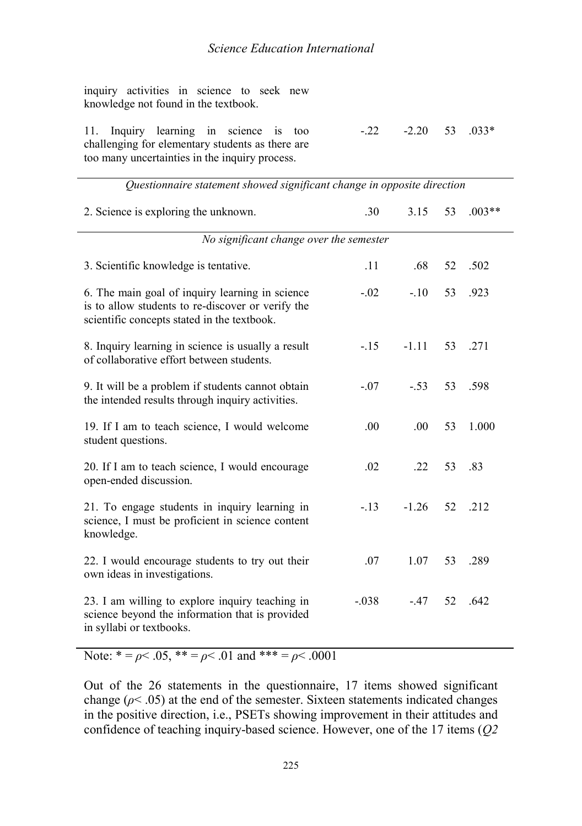| inquiry activities in science to seek new<br>knowledge not found in the textbook.                                                            |                          |  |
|----------------------------------------------------------------------------------------------------------------------------------------------|--------------------------|--|
| 11. Inquiry learning in science is too<br>challenging for elementary students as there are<br>too many uncertainties in the inquiry process. | $-22$ $-2.20$ 53 $.033*$ |  |
| Questionnaire statement showed significant change in opposite direction                                                                      |                          |  |

| 2. Science is exploring the unknown.                                                                                                                | .30     | 3.15    | 53 | $.003**$ |
|-----------------------------------------------------------------------------------------------------------------------------------------------------|---------|---------|----|----------|
| No significant change over the semester                                                                                                             |         |         |    |          |
| 3. Scientific knowledge is tentative.                                                                                                               | .11     | .68     | 52 | .502     |
| 6. The main goal of inquiry learning in science<br>is to allow students to re-discover or verify the<br>scientific concepts stated in the textbook. | $-.02$  | $-.10$  | 53 | .923     |
| 8. Inquiry learning in science is usually a result<br>of collaborative effort between students.                                                     | $-.15$  | $-1.11$ | 53 | .271     |
| 9. It will be a problem if students cannot obtain<br>the intended results through inquiry activities.                                               | $-.07$  | $-.53$  | 53 | .598     |
| 19. If I am to teach science, I would welcome<br>student questions.                                                                                 | .00.    | .00.    | 53 | 1.000    |
| 20. If I am to teach science, I would encourage<br>open-ended discussion.                                                                           | .02     | .22     | 53 | .83      |
| 21. To engage students in inquiry learning in<br>science, I must be proficient in science content<br>knowledge.                                     | $-.13$  | $-1.26$ | 52 | .212     |
| 22. I would encourage students to try out their<br>own ideas in investigations.                                                                     | .07     | 1.07    | 53 | .289     |
| 23. I am willing to explore inquiry teaching in<br>science beyond the information that is provided<br>in syllabi or textbooks.                      | $-.038$ | $-.47$  | 52 | .642     |

Note:  $* = \rho < .05$ ,  $* = \rho < .01$  and  $* = \rho < .0001$ 

Out of the 26 statements in the questionnaire, 17 items showed significant change ( $\rho$ < .05) at the end of the semester. Sixteen statements indicated changes in the positive direction, i.e., PSETs showing improvement in their attitudes and confidence of teaching inquiry-based science. However, one of the 17 items (*Q2*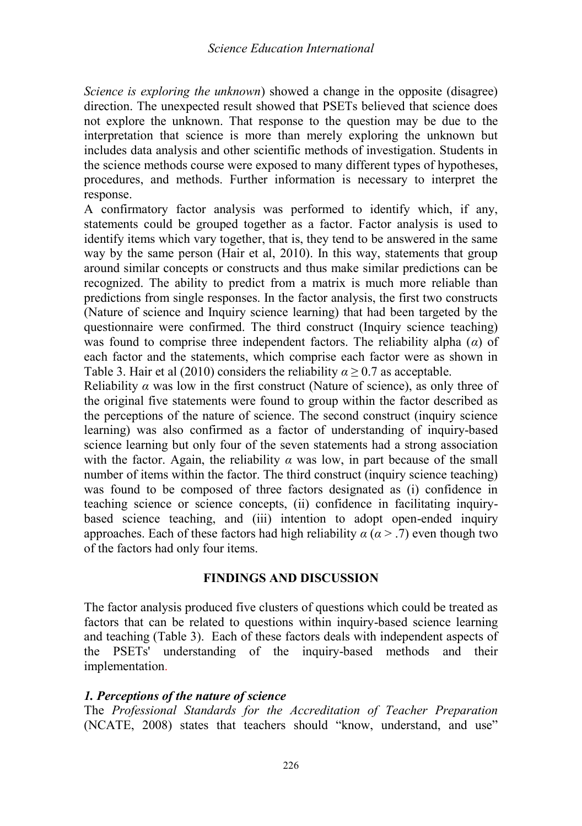*Science is exploring the unknown*) showed a change in the opposite (disagree) direction. The unexpected result showed that PSETs believed that science does not explore the unknown. That response to the question may be due to the interpretation that science is more than merely exploring the unknown but includes data analysis and other scientific methods of investigation. Students in the science methods course were exposed to many different types of hypotheses, procedures, and methods. Further information is necessary to interpret the response.

A confirmatory factor analysis was performed to identify which, if any, statements could be grouped together as a factor. Factor analysis is used to identify items which vary together, that is, they tend to be answered in the same way by the same person (Hair et al, 2010). In this way, statements that group around similar concepts or constructs and thus make similar predictions can be recognized. The ability to predict from a matrix is much more reliable than predictions from single responses. In the factor analysis, the first two constructs (Nature of science and Inquiry science learning) that had been targeted by the questionnaire were confirmed. The third construct (Inquiry science teaching) was found to comprise three independent factors. The reliability alpha (*α*) of each factor and the statements, which comprise each factor were as shown in Table 3. Hair et al (2010) considers the reliability  $\alpha \geq 0.7$  as acceptable.

Reliability  $\alpha$  was low in the first construct (Nature of science), as only three of the original five statements were found to group within the factor described as the perceptions of the nature of science. The second construct (inquiry science learning) was also confirmed as a factor of understanding of inquiry-based science learning but only four of the seven statements had a strong association with the factor. Again, the reliability  $\alpha$  was low, in part because of the small number of items within the factor. The third construct (inquiry science teaching) was found to be composed of three factors designated as (i) confidence in teaching science or science concepts, (ii) confidence in facilitating inquirybased science teaching, and (iii) intention to adopt open-ended inquiry approaches. Each of these factors had high reliability  $\alpha$  ( $\alpha$  > .7) even though two of the factors had only four items.

### **FINDINGS AND DISCUSSION**

The factor analysis produced five clusters of questions which could be treated as factors that can be related to questions within inquiry-based science learning and teaching (Table 3). Each of these factors deals with independent aspects of the PSETs' understanding of the inquiry-based methods and their implementation.

### *1. Perceptions of the nature of science*

The *Professional Standards for the Accreditation of Teacher Preparation* (NCATE, 2008) states that teachers should "know, understand, and use"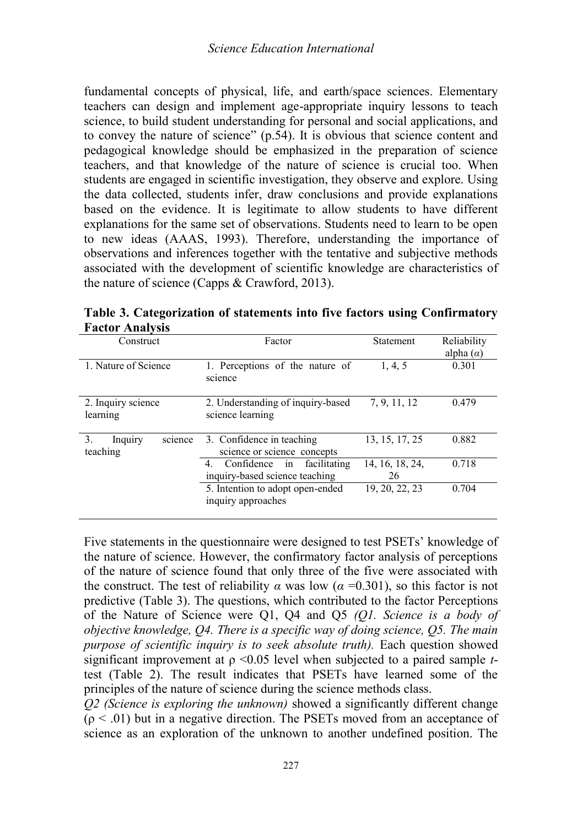fundamental concepts of physical, life, and earth/space sciences. Elementary teachers can design and implement age-appropriate inquiry lessons to teach science, to build student understanding for personal and social applications, and to convey the nature of science" (p.54). It is obvious that science content and pedagogical knowledge should be emphasized in the preparation of science teachers, and that knowledge of the nature of science is crucial too. When students are engaged in scientific investigation, they observe and explore. Using the data collected, students infer, draw conclusions and provide explanations based on the evidence. It is legitimate to allow students to have different explanations for the same set of observations. Students need to learn to be open to new ideas (AAAS, 1993). Therefore, understanding the importance of observations and inferences together with the tentative and subjective methods associated with the development of scientific knowledge are characteristics of the nature of science (Capps & Crawford, 2013).

| Construct                            | Factor                                                                   | Statement             | Reliability<br>alpha $(\alpha)$ |
|--------------------------------------|--------------------------------------------------------------------------|-----------------------|---------------------------------|
| 1. Nature of Science                 | 1. Perceptions of the nature of<br>science                               | 1, 4, 5               | 0.301                           |
| 2. Inquiry science<br>learning       | 2. Understanding of inquiry-based<br>science learning                    | 7, 9, 11, 12          | 0.479                           |
| science<br>3.<br>Inquiry<br>teaching | 3. Confidence in teaching<br>science or science concepts                 | 13, 15, 17, 25        | 0.882                           |
|                                      | Confidence<br>4.<br>facilitating<br>in<br>inquiry-based science teaching | 14, 16, 18, 24,<br>26 | 0.718                           |
|                                      | 5. Intention to adopt open-ended<br>inquiry approaches                   | 19, 20, 22, 23        | 0.704                           |

**Table 3. Categorization of statements into five factors using Confirmatory Factor Analysis**

Five statements in the questionnaire were designed to test PSETs' knowledge of the nature of science. However, the confirmatory factor analysis of perceptions of the nature of science found that only three of the five were associated with the construct. The test of reliability  $\alpha$  was low ( $\alpha$  =0.301), so this factor is not predictive (Table 3). The questions, which contributed to the factor Perceptions of the Nature of Science were Q1, Q4 and Q5 *(Q1. Science is a body of objective knowledge, Q4. There is a specific way of doing science, Q5. The main purpose of scientific inquiry is to seek absolute truth).* Each question showed significant improvement at  $\rho \leq 0.05$  level when subjected to a paired sample *t*test (Table 2). The result indicates that PSETs have learned some of the principles of the nature of science during the science methods class.

*Q2 (Science is exploring the unknown)* showed a significantly different change  $(p < .01)$  but in a negative direction. The PSETs moved from an acceptance of science as an exploration of the unknown to another undefined position. The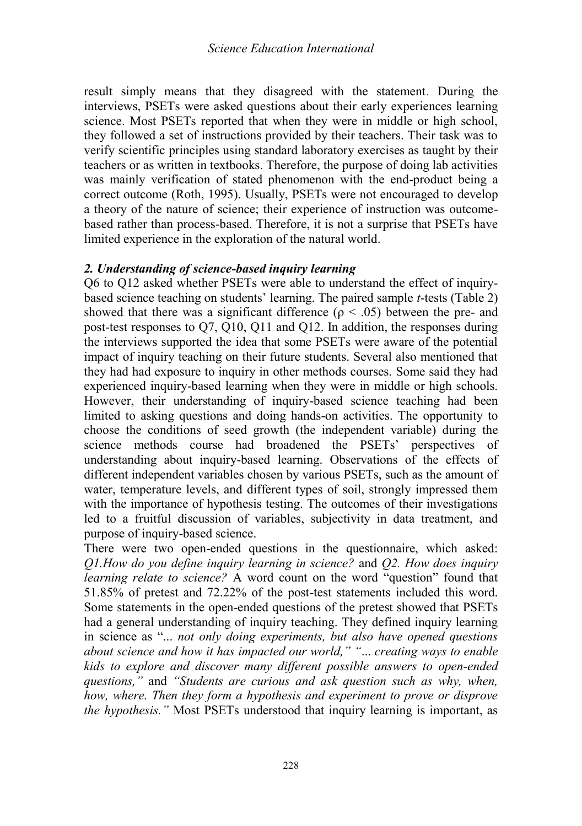result simply means that they disagreed with the statement. During the interviews, PSETs were asked questions about their early experiences learning science. Most PSETs reported that when they were in middle or high school, they followed a set of instructions provided by their teachers. Their task was to verify scientific principles using standard laboratory exercises as taught by their teachers or as written in textbooks. Therefore, the purpose of doing lab activities was mainly verification of stated phenomenon with the end-product being a correct outcome (Roth, 1995). Usually, PSETs were not encouraged to develop a theory of the nature of science; their experience of instruction was outcomebased rather than process-based. Therefore, it is not a surprise that PSETs have limited experience in the exploration of the natural world.

### *2. Understanding of science-based inquiry learning*

Q6 to Q12 asked whether PSETs were able to understand the effect of inquirybased science teaching on students' learning. The paired sample *t*-tests (Table 2) showed that there was a significant difference ( $\rho < .05$ ) between the pre- and post-test responses to Q7, Q10, Q11 and Q12. In addition, the responses during the interviews supported the idea that some PSETs were aware of the potential impact of inquiry teaching on their future students. Several also mentioned that they had had exposure to inquiry in other methods courses. Some said they had experienced inquiry-based learning when they were in middle or high schools. However, their understanding of inquiry-based science teaching had been limited to asking questions and doing hands-on activities. The opportunity to choose the conditions of seed growth (the independent variable) during the science methods course had broadened the PSETs' perspectives of understanding about inquiry-based learning. Observations of the effects of different independent variables chosen by various PSETs, such as the amount of water, temperature levels, and different types of soil, strongly impressed them with the importance of hypothesis testing. The outcomes of their investigations led to a fruitful discussion of variables, subjectivity in data treatment, and purpose of inquiry-based science.

There were two open-ended questions in the questionnaire, which asked: *Q1.How do you define inquiry learning in science?* and *Q2. How does inquiry learning relate to science?* A word count on the word "question" found that 51.85% of pretest and 72.22% of the post-test statements included this word. Some statements in the open-ended questions of the pretest showed that PSETs had a general understanding of inquiry teaching. They defined inquiry learning in science as "... *not only doing experiments, but also have opened questions about science and how it has impacted our world," "*... *creating ways to enable kids to explore and discover many different possible answers to open-ended questions,"* and *"Students are curious and ask question such as why, when, how, where. Then they form a hypothesis and experiment to prove or disprove the hypothesis.*" Most PSETs understood that inquiry learning is important, as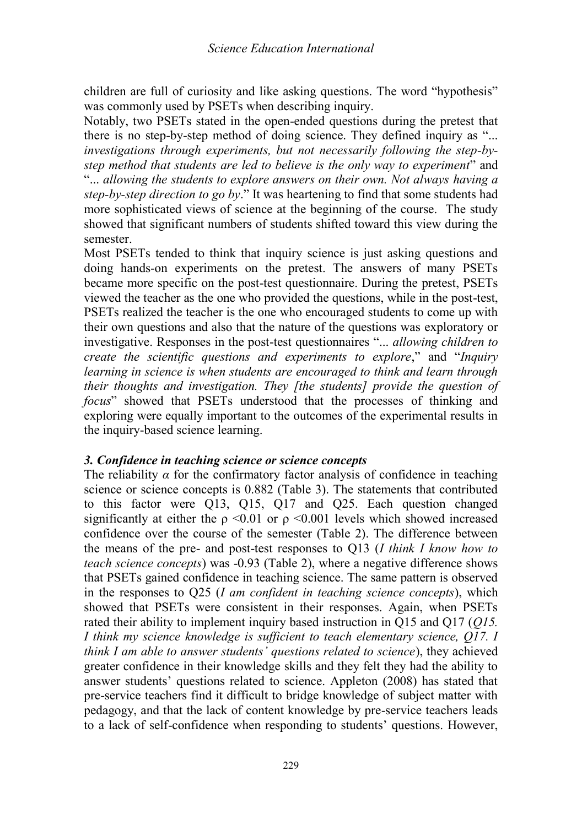children are full of curiosity and like asking questions. The word "hypothesis" was commonly used by PSETs when describing inquiry.

Notably, two PSETs stated in the open-ended questions during the pretest that there is no step-by-step method of doing science. They defined inquiry as "... *investigations through experiments, but not necessarily following the step-bystep method that students are led to believe is the only way to experiment*" and "... *allowing the students to explore answers on their own. Not always having a step-by-step direction to go by*." It was heartening to find that some students had more sophisticated views of science at the beginning of the course. The study showed that significant numbers of students shifted toward this view during the semester.

Most PSETs tended to think that inquiry science is just asking questions and doing hands-on experiments on the pretest. The answers of many PSETs became more specific on the post-test questionnaire. During the pretest, PSETs viewed the teacher as the one who provided the questions, while in the post-test, PSETs realized the teacher is the one who encouraged students to come up with their own questions and also that the nature of the questions was exploratory or investigative. Responses in the post-test questionnaires "... *allowing children to create the scientific questions and experiments to explore*," and "*Inquiry learning in science is when students are encouraged to think and learn through their thoughts and investigation. They [the students] provide the question of focus*" showed that PSETs understood that the processes of thinking and exploring were equally important to the outcomes of the experimental results in the inquiry-based science learning.

### *3. Confidence in teaching science or science concepts*

The reliability  $\alpha$  for the confirmatory factor analysis of confidence in teaching science or science concepts is 0.882 (Table 3). The statements that contributed to this factor were Q13, Q15, Q17 and Q25. Each question changed significantly at either the  $\rho \le 0.01$  or  $\rho \le 0.001$  levels which showed increased confidence over the course of the semester (Table 2). The difference between the means of the pre- and post-test responses to Q13 (*I think I know how to teach science concepts*) was -0.93 (Table 2), where a negative difference shows that PSETs gained confidence in teaching science. The same pattern is observed in the responses to Q25 (*I am confident in teaching science concepts*), which showed that PSETs were consistent in their responses. Again, when PSETs rated their ability to implement inquiry based instruction in Q15 and Q17 (*Q15. I think my science knowledge is sufficient to teach elementary science, Q17. I think I am able to answer students' questions related to science*), they achieved greater confidence in their knowledge skills and they felt they had the ability to answer students' questions related to science. Appleton (2008) has stated that pre-service teachers find it difficult to bridge knowledge of subject matter with pedagogy, and that the lack of content knowledge by pre-service teachers leads to a lack of self-confidence when responding to students' questions. However,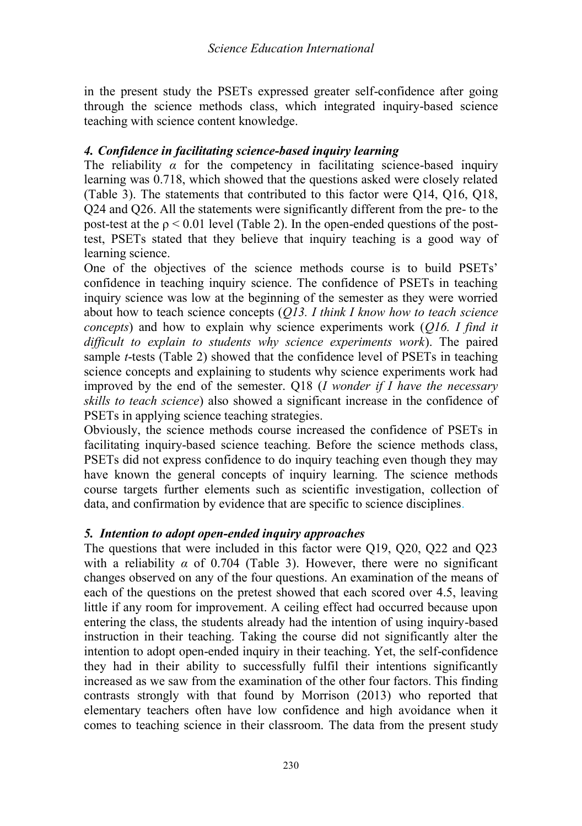in the present study the PSETs expressed greater self-confidence after going through the science methods class, which integrated inquiry-based science teaching with science content knowledge.

### *4. Confidence in facilitating science-based inquiry learning*

The reliability  $\alpha$  for the competency in facilitating science-based inquiry learning was 0.718, which showed that the questions asked were closely related (Table 3). The statements that contributed to this factor were Q14, Q16, Q18, Q24 and Q26. All the statements were significantly different from the pre- to the post-test at the  $\rho$  < 0.01 level (Table 2). In the open-ended questions of the posttest, PSETs stated that they believe that inquiry teaching is a good way of learning science.

One of the objectives of the science methods course is to build PSETs' confidence in teaching inquiry science. The confidence of PSETs in teaching inquiry science was low at the beginning of the semester as they were worried about how to teach science concepts (*Q13. I think I know how to teach science concepts*) and how to explain why science experiments work (*Q16. I find it difficult to explain to students why science experiments work*). The paired sample *t*-tests (Table 2) showed that the confidence level of PSETs in teaching science concepts and explaining to students why science experiments work had improved by the end of the semester. Q18 (*I wonder if I have the necessary skills to teach science*) also showed a significant increase in the confidence of PSETs in applying science teaching strategies.

Obviously, the science methods course increased the confidence of PSETs in facilitating inquiry-based science teaching. Before the science methods class, PSETs did not express confidence to do inquiry teaching even though they may have known the general concepts of inquiry learning. The science methods course targets further elements such as scientific investigation, collection of data, and confirmation by evidence that are specific to science disciplines.

### *5. Intention to adopt open-ended inquiry approaches*

The questions that were included in this factor were Q19, Q20, Q22 and Q23 with a reliability  $\alpha$  of 0.704 (Table 3). However, there were no significant changes observed on any of the four questions. An examination of the means of each of the questions on the pretest showed that each scored over 4.5, leaving little if any room for improvement. A ceiling effect had occurred because upon entering the class, the students already had the intention of using inquiry-based instruction in their teaching. Taking the course did not significantly alter the intention to adopt open-ended inquiry in their teaching. Yet, the self-confidence they had in their ability to successfully fulfil their intentions significantly increased as we saw from the examination of the other four factors. This finding contrasts strongly with that found by Morrison (2013) who reported that elementary teachers often have low confidence and high avoidance when it comes to teaching science in their classroom. The data from the present study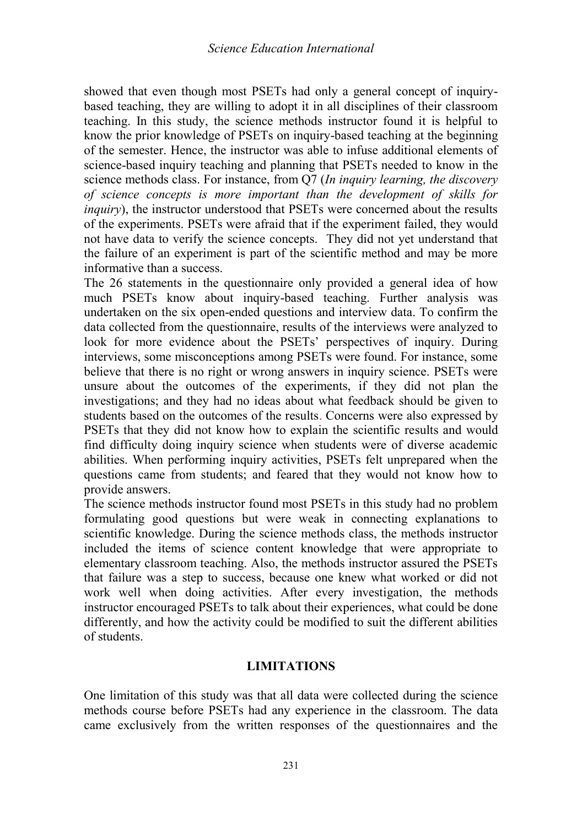showed that even though most PSETs had only a general concept of inquirybased teaching, they are willing to adopt it in all disciplines of their classroom teaching. In this study, the science methods instructor found it is helpful to know the prior knowledge of PSETs on inquiry-based teaching at the beginning of the semester. Hence, the instructor was able to infuse additional elements of science-based inquiry teaching and planning that PSETs needed to know in the science methods class. For instance, from Q7 (*In inquiry learning, the discovery of science concepts is more important than the development of skills for inquiry*), the instructor understood that PSETs were concerned about the results of the experiments. PSETs were afraid that if the experiment failed, they would not have data to verify the science concepts. They did not yet understand that the failure of an experiment is part of the scientific method and may be more informative than a success.

The 26 statements in the questionnaire only provided a general idea of how much PSETs know about inquiry-based teaching. Further analysis was undertaken on the six open-ended questions and interview data. To confirm the data collected from the questionnaire, results of the interviews were analyzed to look for more evidence about the PSETs' perspectives of inquiry. During interviews, some misconceptions among PSETs were found. For instance, some believe that there is no right or wrong answers in inquiry science. PSETs were unsure about the outcomes of the experiments, if they did not plan the investigations; and they had no ideas about what feedback should be given to students based on the outcomes of the results. Concerns were also expressed by PSETs that they did not know how to explain the scientific results and would find difficulty doing inquiry science when students were of diverse academic abilities. When performing inquiry activities, PSETs felt unprepared when the questions came from students; and feared that they would not know how to provide answers.

The science methods instructor found most PSETs in this study had no problem formulating good questions but were weak in connecting explanations to scientific knowledge. During the science methods class, the methods instructor included the items of science content knowledge that were appropriate to elementary classroom teaching. Also, the methods instructor assured the PSETs that failure was a step to success, because one knew what worked or did not work well when doing activities. After every investigation, the methods instructor encouraged PSETs to talk about their experiences, what could be done differently, and how the activity could be modified to suit the different abilities of students.

### **LIMITATIONS**

One limitation of this study was that all data were collected during the science methods course before PSETs had any experience in the classroom. The data came exclusively from the written responses of the questionnaires and the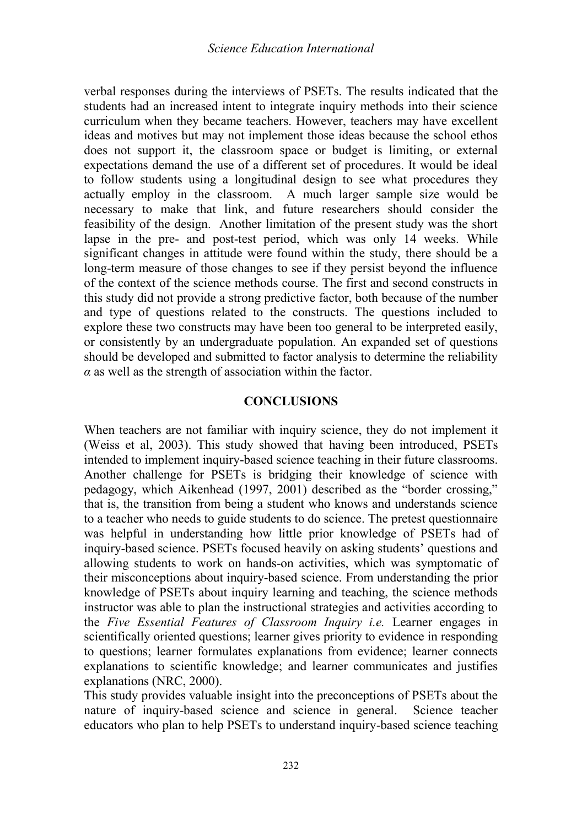verbal responses during the interviews of PSETs. The results indicated that the students had an increased intent to integrate inquiry methods into their science curriculum when they became teachers. However, teachers may have excellent ideas and motives but may not implement those ideas because the school ethos does not support it, the classroom space or budget is limiting, or external expectations demand the use of a different set of procedures. It would be ideal to follow students using a longitudinal design to see what procedures they actually employ in the classroom. A much larger sample size would be necessary to make that link, and future researchers should consider the feasibility of the design. Another limitation of the present study was the short lapse in the pre- and post-test period, which was only 14 weeks. While significant changes in attitude were found within the study, there should be a long-term measure of those changes to see if they persist beyond the influence of the context of the science methods course. The first and second constructs in this study did not provide a strong predictive factor, both because of the number and type of questions related to the constructs. The questions included to explore these two constructs may have been too general to be interpreted easily, or consistently by an undergraduate population. An expanded set of questions should be developed and submitted to factor analysis to determine the reliability *α* as well as the strength of association within the factor.

### **CONCLUSIONS**

When teachers are not familiar with inquiry science, they do not implement it (Weiss et al, 2003). This study showed that having been introduced, PSETs intended to implement inquiry-based science teaching in their future classrooms. Another challenge for PSETs is bridging their knowledge of science with pedagogy, which Aikenhead (1997, 2001) described as the "border crossing," that is, the transition from being a student who knows and understands science to a teacher who needs to guide students to do science. The pretest questionnaire was helpful in understanding how little prior knowledge of PSETs had of inquiry-based science. PSETs focused heavily on asking students' questions and allowing students to work on hands-on activities, which was symptomatic of their misconceptions about inquiry-based science. From understanding the prior knowledge of PSETs about inquiry learning and teaching, the science methods instructor was able to plan the instructional strategies and activities according to the *Five Essential Features of Classroom Inquiry i.e.* Learner engages in scientifically oriented questions; learner gives priority to evidence in responding to questions; learner formulates explanations from evidence; learner connects explanations to scientific knowledge; and learner communicates and justifies explanations (NRC, 2000).

This study provides valuable insight into the preconceptions of PSETs about the nature of inquiry-based science and science in general. Science teacher educators who plan to help PSETs to understand inquiry-based science teaching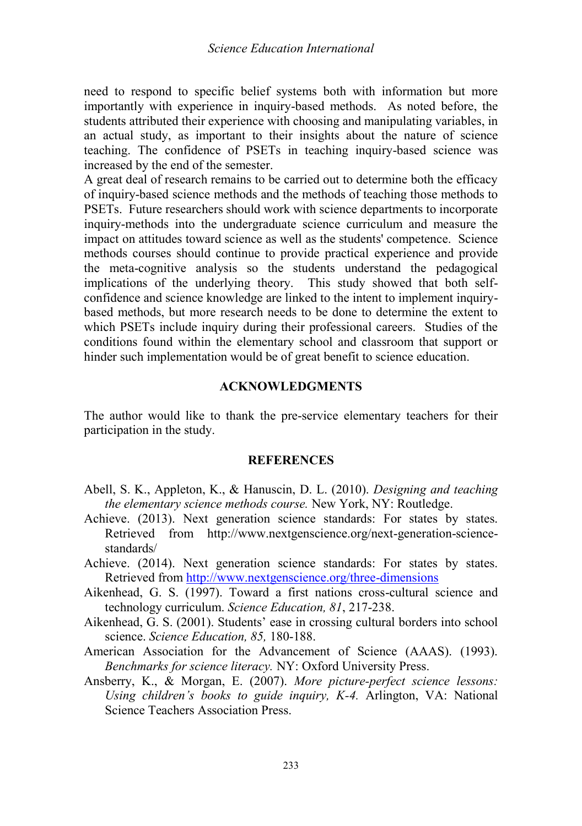need to respond to specific belief systems both with information but more importantly with experience in inquiry-based methods. As noted before, the students attributed their experience with choosing and manipulating variables, in an actual study, as important to their insights about the nature of science teaching. The confidence of PSETs in teaching inquiry-based science was increased by the end of the semester.

A great deal of research remains to be carried out to determine both the efficacy of inquiry-based science methods and the methods of teaching those methods to PSETs. Future researchers should work with science departments to incorporate inquiry-methods into the undergraduate science curriculum and measure the impact on attitudes toward science as well as the students' competence. Science methods courses should continue to provide practical experience and provide the meta-cognitive analysis so the students understand the pedagogical implications of the underlying theory. This study showed that both selfconfidence and science knowledge are linked to the intent to implement inquirybased methods, but more research needs to be done to determine the extent to which PSETs include inquiry during their professional careers. Studies of the conditions found within the elementary school and classroom that support or hinder such implementation would be of great benefit to science education.

#### **ACKNOWLEDGMENTS**

The author would like to thank the pre-service elementary teachers for their participation in the study.

#### **REFERENCES**

- Abell, S. K., Appleton, K., & Hanuscin, D. L. (2010). *Designing and teaching the elementary science methods course.* New York, NY: Routledge.
- Achieve. (2013). Next generation science standards: For states by states. Retrieved from http://www.nextgenscience.org/next-generation-sciencestandards/
- Achieve. (2014). Next generation science standards: For states by states. Retrieved fro[m http://www.nextgenscience.org/three-dimensions](http://www.nextgenscience.org/three-dimensions)
- Aikenhead, G. S. (1997). Toward a first nations cross-cultural science and technology curriculum. *Science Education, 81*, 217-238.
- Aikenhead, G. S. (2001). Students' ease in crossing cultural borders into school science. *Science Education, 85,* 180-188.
- American Association for the Advancement of Science (AAAS). (1993). *Benchmarks for science literacy.* NY: Oxford University Press.
- Ansberry, K., & Morgan, E. (2007). *More picture-perfect science lessons: Using children's books to guide inquiry, K-4.* Arlington, VA: National Science Teachers Association Press.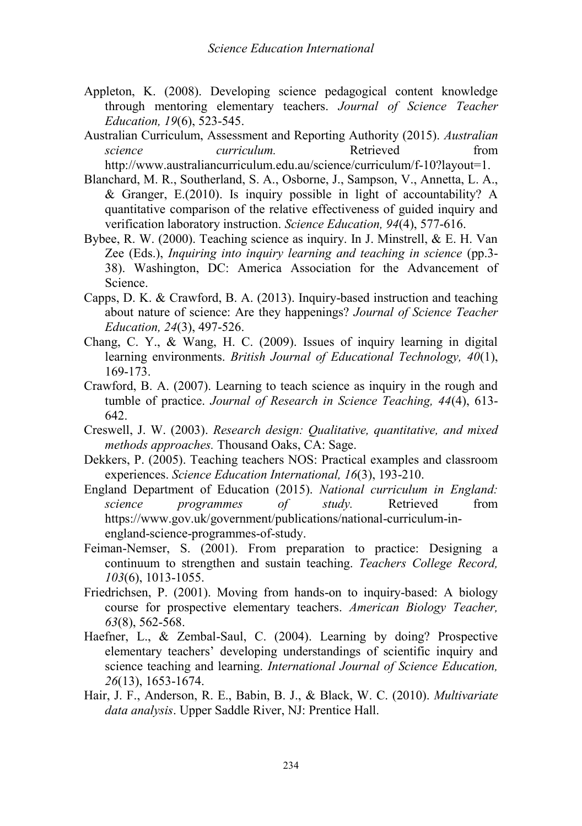- Appleton, K. (2008). Developing science pedagogical content knowledge through mentoring elementary teachers. *Journal of Science Teacher Education, 19*(6), 523-545.
- Australian Curriculum, Assessment and Reporting Authority (2015). *Australian science curriculum.* Retrieved from http://www.australiancurriculum.edu.au/science/curriculum/f-10?layout=1.

Blanchard, M. R., Southerland, S. A., Osborne, J., Sampson, V., Annetta, L. A.,

- & Granger, E.(2010). Is inquiry possible in light of accountability? A quantitative comparison of the relative effectiveness of guided inquiry and verification laboratory instruction. *Science Education, 94*(4), 577-616.
- Bybee, R. W. (2000). Teaching science as inquiry. In J. Minstrell, & E. H. Van Zee (Eds.), *Inquiring into inquiry learning and teaching in science* (pp.3- 38). Washington, DC: America Association for the Advancement of Science.
- Capps, D. K. & Crawford, B. A. (2013). Inquiry-based instruction and teaching about nature of science: Are they happenings? *Journal of Science Teacher Education, 24*(3), 497-526.
- Chang, C. Y., & Wang, H. C. (2009). Issues of inquiry learning in digital learning environments. *British Journal of Educational Technology, 40*(1), 169-173.
- Crawford, B. A. (2007). Learning to teach science as inquiry in the rough and tumble of practice. *Journal of Research in Science Teaching, 44*(4), 613- 642.
- Creswell, J. W. (2003). *Research design: Qualitative, quantitative, and mixed methods approaches.* Thousand Oaks, CA: Sage.
- Dekkers, P. (2005). Teaching teachers NOS: Practical examples and classroom experiences. *Science Education International, 16*(3), 193-210.
- England Department of Education (2015). *National curriculum in England: science programmes of study.* Retrieved from https://www.gov.uk/government/publications/national-curriculum-inengland-science-programmes-of-study.
- Feiman-Nemser, S. (2001). From preparation to practice: Designing a continuum to strengthen and sustain teaching. *Teachers College Record, 103*(6), 1013-1055.
- Friedrichsen, P. (2001). Moving from hands-on to inquiry-based: A biology course for prospective elementary teachers. *American Biology Teacher, 63*(8), 562-568.
- Haefner, L., & Zembal-Saul, C. (2004). Learning by doing? Prospective elementary teachers' developing understandings of scientific inquiry and science teaching and learning. *International Journal of Science Education, 26*(13), 1653-1674.
- Hair, J. F., Anderson, R. E., Babin, B. J., & Black, W. C. (2010). *Multivariate data analysis*. Upper Saddle River, NJ: Prentice Hall.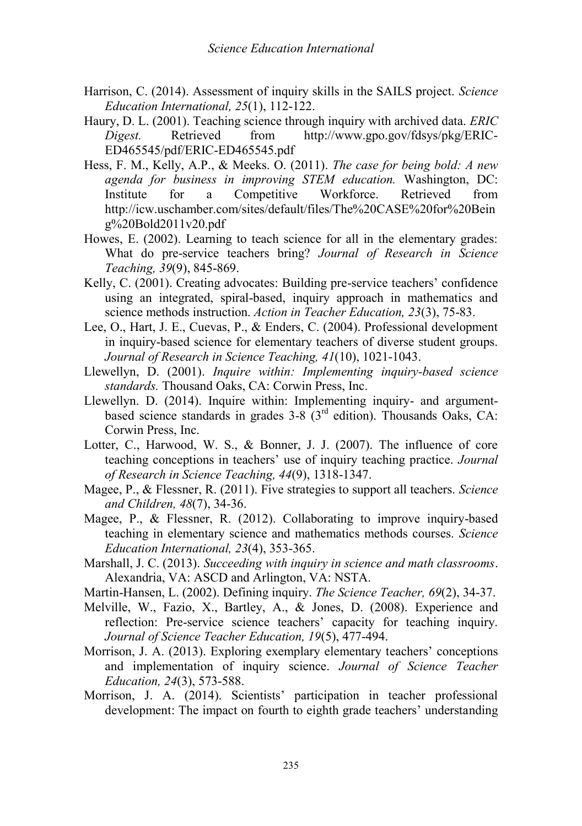- Harrison, C. (2014). Assessment of inquiry skills in the SAILS project. *Science Education International, 25*(1), 112-122.
- Haury, D. L. (2001). Teaching science through inquiry with archived data. *ERIC Digest.* Retrieved from http://www.gpo.gov/fdsys/pkg/ERIC-ED465545/pdf/ERIC-ED465545.pdf
- Hess, F. M., Kelly, A.P., & Meeks. O. (2011). *The case for being bold: A new agenda for business in improving STEM education.* Washington, DC: Institute for a Competitive Workforce. Retrieved from http://icw.uschamber.com/sites/default/files/The%20CASE%20for%20Bein g%20Bold2011v20.pdf
- Howes, E. (2002). Learning to teach science for all in the elementary grades: What do pre-service teachers bring? *Journal of Research in Science Teaching, 39*(9), 845-869.
- Kelly, C. (2001). Creating advocates: Building pre-service teachers' confidence using an integrated, spiral-based, inquiry approach in mathematics and science methods instruction. *Action in Teacher Education, 23*(3), 75-83.
- Lee, O., Hart, J. E., Cuevas, P., & Enders, C. (2004). Professional development in inquiry-based science for elementary teachers of diverse student groups. *Journal of Research in Science Teaching, 41*(10), 1021-1043.
- Llewellyn, D. (2001). *Inquire within: Implementing inquiry-based science standards.* Thousand Oaks, CA: Corwin Press, Inc.
- Llewellyn. D. (2014). Inquire within: Implementing inquiry- and argumentbased science standards in grades  $3-8$  ( $3<sup>rd</sup>$  edition). Thousands Oaks, CA: Corwin Press, Inc.
- Lotter, C., Harwood, W. S., & Bonner, J. J. (2007). The influence of core teaching conceptions in teachers' use of inquiry teaching practice. *Journal of Research in Science Teaching, 44*(9), 1318-1347.
- Magee, P., & Flessner, R. (2011). Five strategies to support all teachers. *Science and Children, 48*(7), 34-36.
- Magee, P., & Flessner, R. (2012). Collaborating to improve inquiry-based teaching in elementary science and mathematics methods courses. *Science Education International, 23*(4), 353-365.
- Marshall, J. C. (2013). *Succeeding with inquiry in science and math classrooms*. Alexandria, VA: ASCD and Arlington, VA: NSTA.
- Martin-Hansen, L. (2002). Defining inquiry. *The Science Teacher, 69*(2), 34-37.
- Melville, W., Fazio, X., Bartley, A., & Jones, D. (2008). Experience and reflection: Pre-service science teachers' capacity for teaching inquiry. *Journal of Science Teacher Education, 19*(5), 477-494.
- Morrison, J. A. (2013). Exploring exemplary elementary teachers' conceptions and implementation of inquiry science. *Journal of Science Teacher Education, 24*(3), 573-588.
- Morrison, J. A. (2014). Scientists' participation in teacher professional development: The impact on fourth to eighth grade teachers' understanding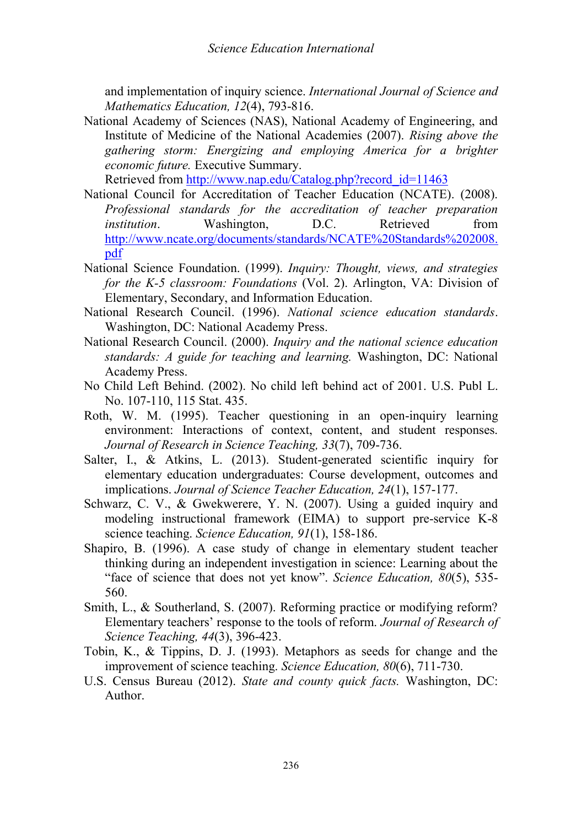and implementation of inquiry science. *International Journal of Science and Mathematics Education, 12*(4), 793-816.

National Academy of Sciences (NAS), National Academy of Engineering, and Institute of Medicine of the National Academies (2007). *Rising above the gathering storm: Energizing and employing America for a brighter economic future.* Executive Summary.

Retrieved fro[m http://www.nap.edu/Catalog.php?record\\_id=11463](http://www.nap.edu/Catalog.php?record_id=11463)

- National Council for Accreditation of Teacher Education (NCATE). (2008). *Professional standards for the accreditation of teacher preparation institution*. Washington, D.C. Retrieved from [http://www.ncate.org/documents/standards/NCATE%20Standards%202008.](http://www.ncate.org/documents/standards/NCATE%20Standards%202008.pdf) [pdf](http://www.ncate.org/documents/standards/NCATE%20Standards%202008.pdf)
- National Science Foundation. (1999). *Inquiry: Thought, views, and strategies for the K-5 classroom: Foundations* (Vol. 2). Arlington, VA: Division of Elementary, Secondary, and Information Education.
- National Research Council. (1996). *National science education standards*. Washington, DC: National Academy Press.
- National Research Council. (2000). *Inquiry and the national science education standards: A guide for teaching and learning.* Washington, DC: National Academy Press.
- No Child Left Behind. (2002). No child left behind act of 2001. U.S. Publ L. No. 107-110, 115 Stat. 435.
- Roth, W. M. (1995). Teacher questioning in an open-inquiry learning environment: Interactions of context, content, and student responses. *Journal of Research in Science Teaching, 33*(7), 709-736.
- Salter, I., & Atkins, L. (2013). Student-generated scientific inquiry for elementary education undergraduates: Course development, outcomes and implications. *Journal of Science Teacher Education, 24*(1), 157-177.
- Schwarz, C. V., & Gwekwerere, Y. N. (2007). Using a guided inquiry and modeling instructional framework (EIMA) to support pre-service K-8 science teaching. *Science Education, 91*(1), 158-186.
- Shapiro, B. (1996). A case study of change in elementary student teacher thinking during an independent investigation in science: Learning about the "face of science that does not yet know". *Science Education, 80*(5), 535- 560.
- Smith, L., & Southerland, S. (2007). Reforming practice or modifying reform? Elementary teachers' response to the tools of reform. *Journal of Research of Science Teaching, 44*(3), 396-423.
- Tobin, K., & Tippins, D. J. (1993). Metaphors as seeds for change and the improvement of science teaching. *Science Education, 80*(6), 711-730.
- U.S. Census Bureau (2012). *State and county quick facts.* Washington, DC: Author.